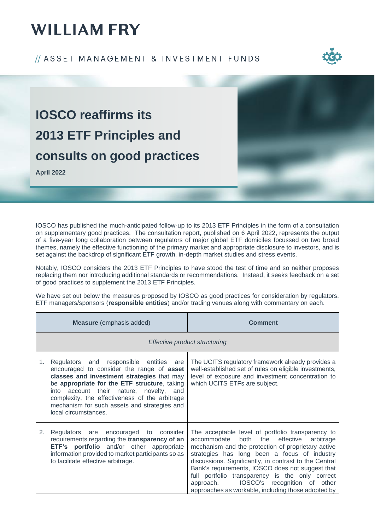#### // ASSET MANAGEMENT & INVESTMENT FUNDS



**IOSCO reaffirms its 2013 ETF Principles and consults on good practices**

**April 2022**

IOSCO has published the much-anticipated follow-up to its 2013 ETF Principles in the form of a consultation on supplementary good practices. The consultation report, published on 6 April 2022, represents the output of a five-year long collaboration between regulators of major global ETF domiciles focussed on two broad themes, namely the effective functioning of the primary market and appropriate disclosure to investors, and is set against the backdrop of significant ETF growth, in-depth market studies and stress events.

Notably, IOSCO considers the 2013 ETF Principles to have stood the test of time and so neither proposes replacing them nor introducing additional standards or recommendations. Instead, it seeks feedback on a set of good practices to supplement the 2013 ETF Principles.

We have set out below the measures proposed by IOSCO as good practices for consideration by regulators, ETF managers/sponsors (**responsible entities**) and/or trading venues along with commentary on each.

|    | <b>Measure</b> (emphasis added)                                                                                                                                                                                                                                                                                                                         | <b>Comment</b>                                                                                                                                                                                                                                                                                                                                                                                                                                                                      |  |
|----|---------------------------------------------------------------------------------------------------------------------------------------------------------------------------------------------------------------------------------------------------------------------------------------------------------------------------------------------------------|-------------------------------------------------------------------------------------------------------------------------------------------------------------------------------------------------------------------------------------------------------------------------------------------------------------------------------------------------------------------------------------------------------------------------------------------------------------------------------------|--|
|    | Effective product structuring                                                                                                                                                                                                                                                                                                                           |                                                                                                                                                                                                                                                                                                                                                                                                                                                                                     |  |
| 1. | Regulators and responsible entities are<br>encouraged to consider the range of asset<br>classes and investment strategies that may<br>be appropriate for the ETF structure, taking<br>into account their nature, novelty, and<br>complexity, the effectiveness of the arbitrage<br>mechanism for such assets and strategies and<br>local circumstances. | The UCITS regulatory framework already provides a<br>well-established set of rules on eligible investments,<br>level of exposure and investment concentration to<br>which UCITS ETFs are subject.                                                                                                                                                                                                                                                                                   |  |
| 2. | Regulators are encouraged to consider<br>requirements regarding the transparency of an<br>ETF's portfolio and/or other appropriate<br>information provided to market participants so as<br>to facilitate effective arbitrage.                                                                                                                           | The acceptable level of portfolio transparency to<br>accommodate<br>both<br>the<br>effective<br>arbitrage<br>mechanism and the protection of proprietary active<br>strategies has long been a focus of industry<br>discussions. Significantly, in contrast to the Central<br>Bank's requirements, IOSCO does not suggest that<br>full portfolio transparency is the only correct<br>IOSCO's recognition of other<br>approach.<br>approaches as workable, including those adopted by |  |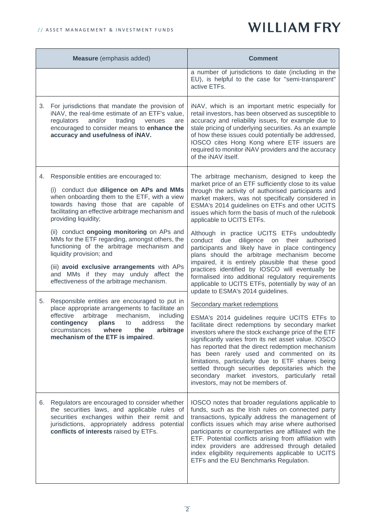| Measure (emphasis added) |                                                                                                                                                                                                                                                                                                               | <b>Comment</b>                                                                                                                                                                                                                                                                                                                                                                                                                                                                                                                                                                            |
|--------------------------|---------------------------------------------------------------------------------------------------------------------------------------------------------------------------------------------------------------------------------------------------------------------------------------------------------------|-------------------------------------------------------------------------------------------------------------------------------------------------------------------------------------------------------------------------------------------------------------------------------------------------------------------------------------------------------------------------------------------------------------------------------------------------------------------------------------------------------------------------------------------------------------------------------------------|
|                          |                                                                                                                                                                                                                                                                                                               | a number of jurisdictions to date (including in the<br>EU), is helpful to the case for "semi-transparent"<br>active ETFs.                                                                                                                                                                                                                                                                                                                                                                                                                                                                 |
| 3.                       | For jurisdictions that mandate the provision of<br>iNAV, the real-time estimate of an ETF's value,<br>and/or<br>trading<br>regulators<br>venues<br>are<br>encouraged to consider means to enhance the<br>accuracy and usefulness of iNAV.                                                                     | iNAV, which is an important metric especially for<br>retail investors, has been observed as susceptible to<br>accuracy and reliability issues, for example due to<br>stale pricing of underlying securities. As an example<br>of how these issues could potentially be addressed,<br>IOSCO cites Hong Kong where ETF issuers are<br>required to monitor iNAV providers and the accuracy<br>of the iNAV itself.                                                                                                                                                                            |
|                          | 4. Responsible entities are encouraged to:<br>(i) conduct due diligence on APs and MMs<br>when onboarding them to the ETF, with a view<br>towards having those that are capable of<br>facilitating an effective arbitrage mechanism and<br>providing liquidity;<br>(ii) conduct ongoing monitoring on APs and | The arbitrage mechanism, designed to keep the<br>market price of an ETF sufficiently close to its value<br>through the activity of authorised participants and<br>market makers, was not specifically considered in<br>ESMA's 2014 guidelines on ETFs and other UCITS<br>issues which form the basis of much of the rulebook<br>applicable to UCITS ETFs.                                                                                                                                                                                                                                 |
|                          | MMs for the ETF regarding, amongst others, the<br>functioning of the arbitrage mechanism and<br>liquidity provision; and<br>(iii) avoid exclusive arrangements with APs<br>and MMs if they may unduly affect the<br>effectiveness of the arbitrage mechanism.                                                 | Although in practice UCITS ETFs undoubtedly<br>conduct due diligence on<br>their<br>authorised<br>participants and likely have in place contingency<br>plans should the arbitrage mechanism become<br>impaired, it is entirely plausible that these good<br>practices identified by IOSCO will eventually be<br>formalised into additional regulatory requirements<br>applicable to UCITS ETFs, potentially by way of an                                                                                                                                                                  |
| 5.                       | Responsible entities are encouraged to put in<br>place appropriate arrangements to facilitate an<br>effective<br>arbitrage<br>mechanism,<br>including<br>address<br>contingency<br>plans to<br>the<br>circumstances where the<br>arbitrage<br>mechanism of the ETF is impaired.                               | update to ESMA's 2014 guidelines.<br>Secondary market redemptions<br>ESMA's 2014 guidelines require UCITS ETFs to<br>facilitate direct redemptions by secondary market<br>investors where the stock exchange price of the ETF<br>significantly varies from its net asset value. IOSCO<br>has reported that the direct redemption mechanism<br>has been rarely used and commented on its<br>limitations, particularly due to ETF shares being<br>settled through securities depositaries which the<br>secondary market investors, particularly retail<br>investors, may not be members of. |
| 6.                       | Regulators are encouraged to consider whether<br>the securities laws, and applicable rules of<br>securities exchanges within their remit and<br>jurisdictions, appropriately address potential<br>conflicts of interests raised by ETFs.                                                                      | IOSCO notes that broader regulations applicable to<br>funds, such as the Irish rules on connected party<br>transactions, typically address the management of<br>conflicts issues which may arise where authorised<br>participants or counterparties are affiliated with the<br>ETF. Potential conflicts arising from affiliation with<br>index providers are addressed through detailed<br>index eligibility requirements applicable to UCITS<br>ETFs and the EU Benchmarks Regulation.                                                                                                   |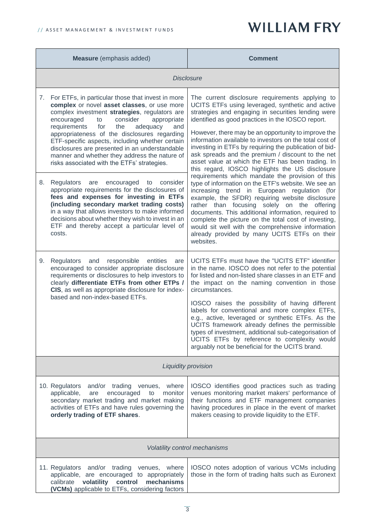| Measure (emphasis added)                                                                                                                                                                                                                                                                                                                                                                                                                                                                                                                                          | Comment                                                                                                                                                                                                                                                                                                                                                                                                                                                                                                                                                                                                                                                            |  |  |
|-------------------------------------------------------------------------------------------------------------------------------------------------------------------------------------------------------------------------------------------------------------------------------------------------------------------------------------------------------------------------------------------------------------------------------------------------------------------------------------------------------------------------------------------------------------------|--------------------------------------------------------------------------------------------------------------------------------------------------------------------------------------------------------------------------------------------------------------------------------------------------------------------------------------------------------------------------------------------------------------------------------------------------------------------------------------------------------------------------------------------------------------------------------------------------------------------------------------------------------------------|--|--|
| <b>Disclosure</b>                                                                                                                                                                                                                                                                                                                                                                                                                                                                                                                                                 |                                                                                                                                                                                                                                                                                                                                                                                                                                                                                                                                                                                                                                                                    |  |  |
| For ETFs, in particular those that invest in more<br>7.<br>complex or novel asset classes, or use more<br>complex investment strategies, regulators are<br>consider<br>encouraged<br>to<br>appropriate<br>requirements<br>the<br>for<br>and<br>adequacy<br>appropriateness of the disclosures regarding<br>ETF-specific aspects, including whether certain<br>disclosures are presented in an understandable<br>manner and whether they address the nature of<br>risks associated with the ETFs' strategies.<br>8.<br>Regulators are<br>encouraged to<br>consider | The current disclosure requirements applying to<br>UCITS ETFs using leveraged, synthetic and active<br>strategies and engaging in securities lending were<br>identified as good practices in the IOSCO report.<br>However, there may be an opportunity to improve the<br>information available to investors on the total cost of<br>investing in ETFs by requiring the publication of bid-<br>ask spreads and the premium / discount to the net<br>asset value at which the ETF has been trading. In<br>this regard, IOSCO highlights the US disclosure<br>requirements which mandate the provision of this<br>type of information on the ETF's website. We see an |  |  |
| appropriate requirements for the disclosures of<br>fees and expenses for investing in ETFs<br>(including secondary market trading costs)<br>in a way that allows investors to make informed<br>decisions about whether they wish to invest in an<br>ETF and thereby accept a particular level of<br>costs.                                                                                                                                                                                                                                                        | increasing trend in European regulation (for<br>example, the SFDR) requiring website disclosure<br>rather than focusing solely on the offering<br>documents. This additional information, required to<br>complete the picture on the total cost of investing,<br>would sit well with the comprehensive information<br>already provided by many UCITS ETFs on their<br>websites.                                                                                                                                                                                                                                                                                    |  |  |
| Regulators and responsible<br>9.<br>entities<br>are<br>encouraged to consider appropriate disclosure<br>requirements or disclosures to help investors to<br>clearly differentiate ETFs from other ETPs /<br>CIS, as well as appropriate disclosure for index-<br>based and non-index-based ETFs.                                                                                                                                                                                                                                                                  | UCITS ETFs must have the "UCITS ETF" identifier<br>in the name. IOSCO does not refer to the potential<br>for listed and non-listed share classes in an ETF and<br>the impact on the naming convention in those<br>circumstances.<br>IOSCO raises the possibility of having different<br>labels for conventional and more complex ETFs,<br>e.g., active, leveraged or synthetic ETFs. As the<br>UCITS framework already defines the permissible<br>types of investment, additional sub-categorisation of<br>UCITS ETFs by reference to complexity would<br>arguably not be beneficial for the UCITS brand.                                                          |  |  |
| Liquidity provision                                                                                                                                                                                                                                                                                                                                                                                                                                                                                                                                               |                                                                                                                                                                                                                                                                                                                                                                                                                                                                                                                                                                                                                                                                    |  |  |
| 10. Regulators<br>and/or trading venues, where<br>applicable,<br>encouraged<br>monitor<br>are<br>to<br>secondary market trading and market making<br>activities of ETFs and have rules governing the<br>orderly trading of ETF shares.                                                                                                                                                                                                                                                                                                                            | IOSCO identifies good practices such as trading<br>venues monitoring market makers' performance of<br>their functions and ETF management companies<br>having procedures in place in the event of market<br>makers ceasing to provide liquidity to the ETF.                                                                                                                                                                                                                                                                                                                                                                                                         |  |  |
| Volatility control mechanisms                                                                                                                                                                                                                                                                                                                                                                                                                                                                                                                                     |                                                                                                                                                                                                                                                                                                                                                                                                                                                                                                                                                                                                                                                                    |  |  |
| 11. Regulators and/or trading<br>where<br>venues,<br>applicable, are encouraged to appropriately<br>volatility<br>control<br>mechanisms<br>calibrate<br>(VCMs) applicable to ETFs, considering factors                                                                                                                                                                                                                                                                                                                                                            | IOSCO notes adoption of various VCMs including<br>those in the form of trading halts such as Euronext                                                                                                                                                                                                                                                                                                                                                                                                                                                                                                                                                              |  |  |